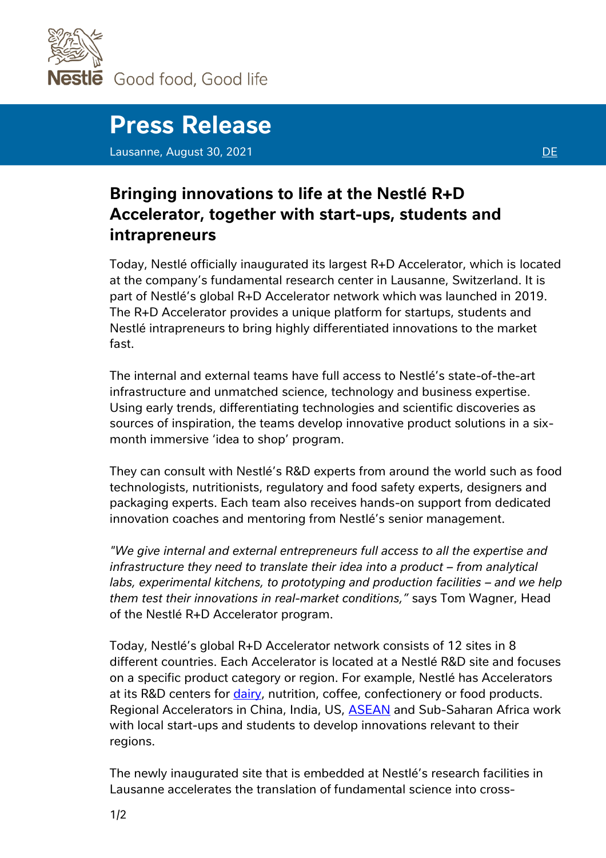

estle Good food, Good life

## **Press Release**

Lausanne, August 30, 2021 **[DE](https://www.nestle.com/sites/default/files/2021-08/press-release-rd-accelerator-inauguration-de.pdf)** 

## **Bringing innovations to life at the Nestlé R+D Accelerator, together with start-ups, students and intrapreneurs**

Today, Nestlé officially inaugurated its largest R+D Accelerator, which is located at the company's fundamental research center in Lausanne, Switzerland. It is part of Nestlé's global R+D Accelerator network which was launched in 2019. The R+D Accelerator provides a unique platform for startups, students and Nestlé intrapreneurs to bring highly differentiated innovations to the market fast.

The internal and external teams have full access to Nestlé's state-of-the-art infrastructure and unmatched science, technology and business expertise. Using early trends, differentiating technologies and scientific discoveries as sources of inspiration, the teams develop innovative product solutions in a sixmonth immersive 'idea to shop' program.

They can consult with Nestlé's R&D experts from around the world such as food technologists, nutritionists, regulatory and food safety experts, designers and packaging experts. Each team also receives hands-on support from dedicated innovation coaches and mentoring from Nestlé's senior management.

*"We give internal and external entrepreneurs full access to all the expertise and infrastructure they need to translate their idea into a product – from analytical labs, experimental kitchens, to prototyping and production facilities – and we help them test their innovations in real-market conditions,"* says Tom Wagner, Head of the Nestlé R+D Accelerator program.

Today, Nestlé's global R+D Accelerator network consists of 12 sites in 8 different countries. Each Accelerator is located at a Nestlé R&D site and focuses on a specific product category or region. For example, Nestlé has Accelerators at its R&D centers for *dairy*, nutrition, coffee, confectionery or food products. Regional Accelerators in China, India, US, **ASEAN** and Sub-Saharan Africa work with local start-ups and students to develop innovations relevant to their regions.

The newly inaugurated site that is embedded at Nestlé's research facilities in Lausanne accelerates the translation of fundamental science into cross